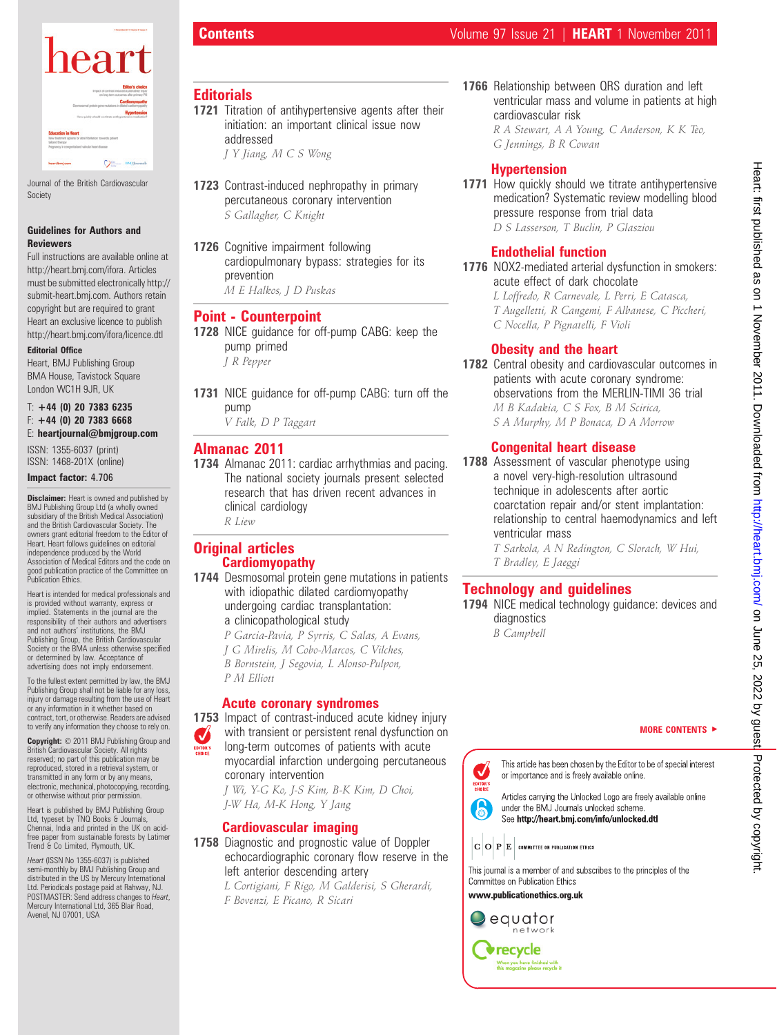

Journal of the British Cardiovascular Society

#### Guidelines for Authors and Reviewers

Full instructions are available online at http://heart.bmj.com/ifora. Articles must be submitted electronically http:// submit-heart.bmj.com. Authors retain copyright but are required to grant Heart an exclusive licence to publish http://heart.bmj.com/ifora/licence.dtl

#### Editorial Office

Heart, BMJ Publishing Group BMA House, Tavistock Square London WC1H 9JR, UK

#### $T: +44$  (0) 20 7383 6235  $F: +44$  (0) 20 7383 6668 E: heartjournal@bmjgroup.com

ISSN: 1355-6037 (print) ISSN: 1468-201X (online)

#### Impact factor: 4.706

**Disclaimer:** Heart is owned and published by BMJ Publishing Group Ltd (a wholly owned subsidiary of the British Medical Association) and the British Cardiovascular Society. The owners grant editorial freedom to the Editor of Heart. Heart follows guidelines on editorial independence produced by the World Association of Medical Editors and the code on good publication practice of the Committee on Publication Ethics.

Heart is intended for medical professionals and is provided without warranty, express or implied. Statements in the journal are the responsibility of their authors and advertisers and not authors' institutions, the BMJ Publishing Group, the British Cardiovascular Society or the BMA unless otherwise specified or determined by law. Acceptance of advertising does not imply endorsement.

To the fullest extent permitted by law, the BMJ Publishing Group shall not be liable for any loss, injury or damage resulting from the use of Heart or any information in it whether based on contract, tort, or otherwise. Readers are advised to verify any information they choose to rely on.

Copyright:  $© 2011$  BMJ Publishing Group and British Cardiovascular Society. All rights reserved; no part of this publication may be reproduced, stored in a retrieval system, or transmitted in any form or by any means, electronic, mechanical, photocopying, recording, or otherwise without prior permission.

Heart is published by BMJ Publishing Group Ltd, typeset by TNQ Books & Journals, Chennai, India and printed in the UK on acidfree paper from sustainable forests by Latimer Trend & Co Limited, Plymouth, UK.

Heart (ISSN No 1355-6037) is published semi-monthly by BMJ Publishing Group and distributed in the US by Mercury International Ltd. Periodicals postage paid at Rahway, NJ. POSTMASTER: Send address changes to Heart, Mercury International Ltd, 365 Blair Road, Avenel, NJ 07001, USA

# **Editorials**

1721 Titration of antihypertensive agents after their initiation: an important clinical issue now addressed

J Y Jiang, M C S Wong

- 1723 Contrast-induced nephropathy in primary percutaneous coronary intervention S Gallagher, C Knight
- 1726 Cognitive impairment following cardiopulmonary bypass: strategies for its prevention M E Halkos, J D Puskas

### Point - Counterpoint

- 1728 NICE quidance for off-pump CABG: keep the pump primed J R Pepper
- 1731 NICE guidance for off-pump CABG: turn off the pump

V Falk, D P Taggart

## Almanac 2011

1734 Almanac 2011: cardiac arrhythmias and pacing. The national society journals present selected research that has driven recent advances in clinical cardiology R Liew

**Original articles** Cardiomyopathy

1744 Desmosomal protein gene mutations in patients with idiopathic dilated cardiomyopathy undergoing cardiac transplantation: a clinicopathological study P Garcia-Pavia, P Syrris, C Salas, A Evans,

J G Mirelis, M Cobo-Marcos, C Vilches, B Bornstein, J Segovia, L Alonso-Pulpon, P M Elliott

#### Acute coronary syndromes

1753 Impact of contrast-induced acute kidney injury with transient or persistent renal dysfunction on long-term outcomes of patients with acute myocardial infarction undergoing percutaneous coronary intervention J Wi, Y-G Ko, J-S Kim, B-K Kim, D Choi, J-W Ha, M-K Hong, Y Jang

# Cardiovascular imaging

1758 Diagnostic and prognostic value of Doppler echocardiographic coronary flow reserve in the left anterior descending artery

L Cortigiani, F Rigo, M Galderisi, S Gherardi, F Bovenzi, E Picano, R Sicari

1766 Relationship between QRS duration and left ventricular mass and volume in patients at high cardiovascular risk R A Stewart, A A Young, C Anderson, K K Teo,

G Jennings, B R Cowan

# **Hypertension**

1771 How quickly should we titrate antihypertensive medication? Systematic review modelling blood pressure response from trial data D S Lasserson, T Buclin, P Glasziou

# Endothelial function

1776 NOX2-mediated arterial dysfunction in smokers: acute effect of dark chocolate

L Loffredo, R Carnevale, L Perri, E Catasca, T Augelletti, R Cangemi, F Albanese, C Piccheri, C Nocella, P Pignatelli, F Violi

# Obesity and the heart

1782 Central obesity and cardiovascular outcomes in patients with acute coronary syndrome: observations from the MERLIN-TIMI 36 trial M B Kadakia, C S Fox, B M Scirica, S A Murphy, M P Bonaca, D A Morrow

# Congenital heart disease

1788 Assessment of vascular phenotype using a novel very-high-resolution ultrasound technique in adolescents after aortic coarctation repair and/or stent implantation: relationship to central haemodynamics and left ventricular mass

> T Sarkola, A N Redington, C Slorach, W Hui, T Bradley, E Jaeggi

# Technology and guidelines

1794 NICE medical technology guidance: devices and diagnostics

B Campbell

#### MORE CONTENTS  $\blacktriangleright$



Articles carrying the Unlocked Logo are freely available online under the BMJ Journals unlocked scheme. See http://heart.bmj.com/info/unlocked.dtl

 $|\mathbf{C}\,|\mathbf{O}\,|\mathbf{P}\,|\mathbf{E}\,|$  committee on publication ethics

This journal is a member of and subscribes to the principles of the Committee on Publication Ethics

www.publicationethics.org.uk



6